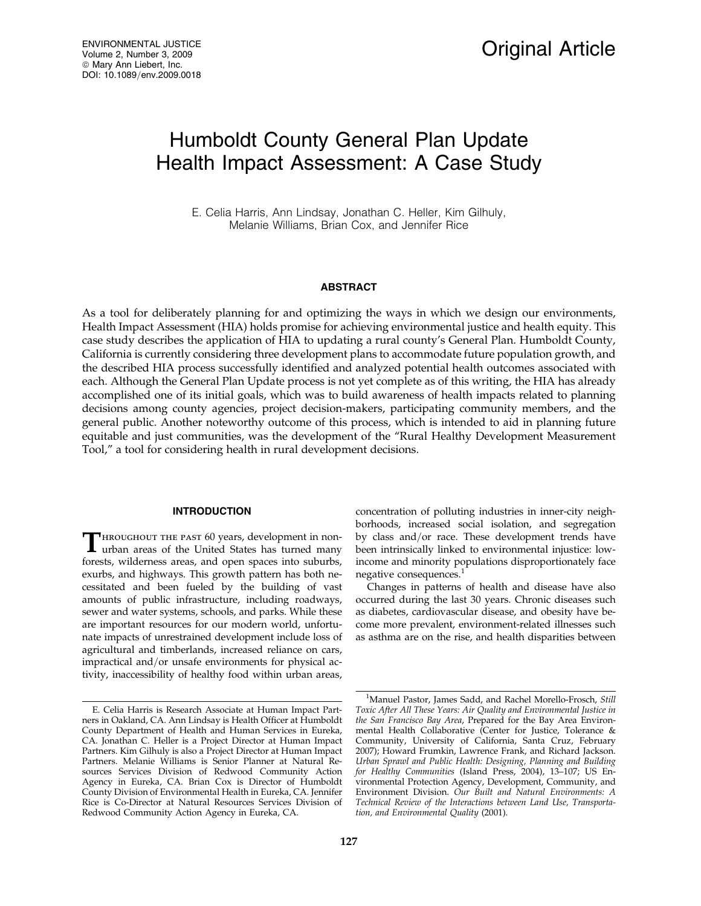# Humboldt County General Plan Update Health Impact Assessment: A Case Study

E. Celia Harris, Ann Lindsay, Jonathan C. Heller, Kim Gilhuly, Melanie Williams, Brian Cox, and Jennifer Rice

### ABSTRACT

As a tool for deliberately planning for and optimizing the ways in which we design our environments, Health Impact Assessment (HIA) holds promise for achieving environmental justice and health equity. This case study describes the application of HIA to updating a rural county's General Plan. Humboldt County, California is currently considering three development plans to accommodate future population growth, and the described HIA process successfully identified and analyzed potential health outcomes associated with each. Although the General Plan Update process is not yet complete as of this writing, the HIA has already accomplished one of its initial goals, which was to build awareness of health impacts related to planning decisions among county agencies, project decision-makers, participating community members, and the general public. Another noteworthy outcome of this process, which is intended to aid in planning future equitable and just communities, was the development of the ''Rural Healthy Development Measurement Tool,'' a tool for considering health in rural development decisions.

## INTRODUCTION

**THROUGHOUT THE PAST 60 years, development in non-**<br>urban areas of the United States has turned many urban areas of the United States has turned many forests, wilderness areas, and open spaces into suburbs, exurbs, and highways. This growth pattern has both necessitated and been fueled by the building of vast amounts of public infrastructure, including roadways, sewer and water systems, schools, and parks. While these are important resources for our modern world, unfortunate impacts of unrestrained development include loss of agricultural and timberlands, increased reliance on cars, impractical and/or unsafe environments for physical activity, inaccessibility of healthy food within urban areas,

127

concentration of polluting industries in inner-city neighborhoods, increased social isolation, and segregation by class and/or race. These development trends have been intrinsically linked to environmental injustice: lowincome and minority populations disproportionately face negative consequences.<sup>1</sup>

Changes in patterns of health and disease have also occurred during the last 30 years. Chronic diseases such as diabetes, cardiovascular disease, and obesity have become more prevalent, environment-related illnesses such as asthma are on the rise, and health disparities between

E. Celia Harris is Research Associate at Human Impact Partners in Oakland, CA. Ann Lindsay is Health Officer at Humboldt County Department of Health and Human Services in Eureka, CA. Jonathan C. Heller is a Project Director at Human Impact Partners. Kim Gilhuly is also a Project Director at Human Impact Partners. Melanie Williams is Senior Planner at Natural Resources Services Division of Redwood Community Action Agency in Eureka, CA. Brian Cox is Director of Humboldt County Division of Environmental Health in Eureka, CA. Jennifer Rice is Co-Director at Natural Resources Services Division of Redwood Community Action Agency in Eureka, CA.

<sup>&</sup>lt;sup>1</sup>Manuel Pastor, James Sadd, and Rachel Morello-Frosch, Still Toxic After All These Years: Air Quality and Environmental Justice in the San Francisco Bay Area, Prepared for the Bay Area Environmental Health Collaborative (Center for Justice, Tolerance & Community, University of California, Santa Cruz, February 2007); Howard Frumkin, Lawrence Frank, and Richard Jackson. Urban Sprawl and Public Health: Designing, Planning and Building for Healthy Communities (Island Press, 2004), 13–107; US Environmental Protection Agency, Development, Community, and Environment Division. Our Built and Natural Environments: A Technical Review of the Interactions between Land Use, Transportation, and Environmental Quality (2001).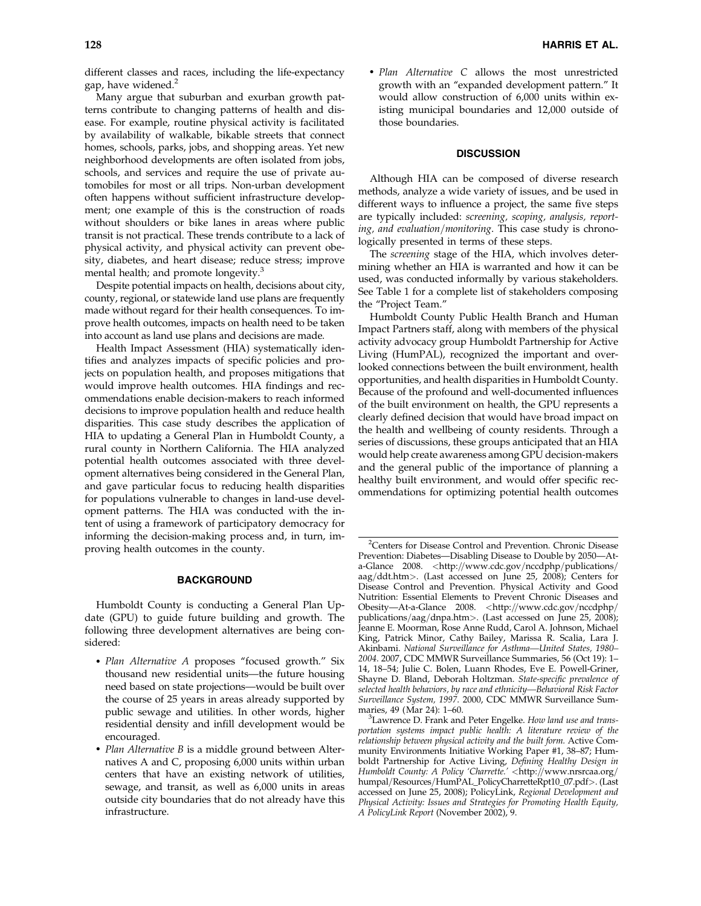different classes and races, including the life-expectancy gap, have widened.<sup>2</sup>

Many argue that suburban and exurban growth patterns contribute to changing patterns of health and disease. For example, routine physical activity is facilitated by availability of walkable, bikable streets that connect homes, schools, parks, jobs, and shopping areas. Yet new neighborhood developments are often isolated from jobs, schools, and services and require the use of private automobiles for most or all trips. Non-urban development often happens without sufficient infrastructure development; one example of this is the construction of roads without shoulders or bike lanes in areas where public transit is not practical. These trends contribute to a lack of physical activity, and physical activity can prevent obesity, diabetes, and heart disease; reduce stress; improve mental health; and promote longevity.<sup>3</sup>

Despite potential impacts on health, decisions about city, county, regional, or statewide land use plans are frequently made without regard for their health consequences. To improve health outcomes, impacts on health need to be taken into account as land use plans and decisions are made.

Health Impact Assessment (HIA) systematically identifies and analyzes impacts of specific policies and projects on population health, and proposes mitigations that would improve health outcomes. HIA findings and recommendations enable decision-makers to reach informed decisions to improve population health and reduce health disparities. This case study describes the application of HIA to updating a General Plan in Humboldt County, a rural county in Northern California. The HIA analyzed potential health outcomes associated with three development alternatives being considered in the General Plan, and gave particular focus to reducing health disparities for populations vulnerable to changes in land-use development patterns. The HIA was conducted with the intent of using a framework of participatory democracy for informing the decision-making process and, in turn, improving health outcomes in the county.

## BACKGROUND

Humboldt County is conducting a General Plan Update (GPU) to guide future building and growth. The following three development alternatives are being considered:

- Plan Alternative A proposes "focused growth." Six thousand new residential units—the future housing need based on state projections—would be built over the course of 25 years in areas already supported by public sewage and utilities. In other words, higher residential density and infill development would be encouraged.
- Plan Alternative B is a middle ground between Alternatives A and C, proposing 6,000 units within urban centers that have an existing network of utilities, sewage, and transit, as well as 6,000 units in areas outside city boundaries that do not already have this infrastructure.

• Plan Alternative C allows the most unrestricted growth with an ''expanded development pattern.'' It would allow construction of 6,000 units within existing municipal boundaries and 12,000 outside of those boundaries.

### **DISCUSSION**

Although HIA can be composed of diverse research methods, analyze a wide variety of issues, and be used in different ways to influence a project, the same five steps are typically included: screening, scoping, analysis, reporting, and evaluation/monitoring. This case study is chronologically presented in terms of these steps.

The screening stage of the HIA, which involves determining whether an HIA is warranted and how it can be used, was conducted informally by various stakeholders. See Table 1 for a complete list of stakeholders composing the ''Project Team.''

Humboldt County Public Health Branch and Human Impact Partners staff, along with members of the physical activity advocacy group Humboldt Partnership for Active Living (HumPAL), recognized the important and overlooked connections between the built environment, health opportunities, and health disparities in Humboldt County. Because of the profound and well-documented influences of the built environment on health, the GPU represents a clearly defined decision that would have broad impact on the health and wellbeing of county residents. Through a series of discussions, these groups anticipated that an HIA would help create awareness among GPU decision-makers and the general public of the importance of planning a healthy built environment, and would offer specific recommendations for optimizing potential health outcomes

<sup>&</sup>lt;sup>2</sup> Centers for Disease Control and Prevention. Chronic Disease Prevention: Diabetes—Disabling Disease to Double by 2050—Ata-Glance 2008. <http://www.cdc.gov/nccdphp/publications/ aag/ddt.htm>. (Last accessed on June 25, 2008); Centers for Disease Control and Prevention. Physical Activity and Good Nutrition: Essential Elements to Prevent Chronic Diseases and Obesity—At-a-Glance 2008. <http://www.cdc.gov/nccdphp/ publications/aag/dnpa.htm>. (Last accessed on June 25, 2008); Jeanne E. Moorman, Rose Anne Rudd, Carol A. Johnson, Michael King, Patrick Minor, Cathy Bailey, Marissa R. Scalia, Lara J. Akinbami. National Surveillance for Asthma—United States, 1980– 2004. 2007, CDC MMWR Surveillance Summaries, 56 (Oct 19): 1– 14, 18–54; Julie C. Bolen, Luann Rhodes, Eve E. Powell-Griner, Shayne D. Bland, Deborah Holtzman. State-specific prevalence of selected health behaviors, by race and ethnicity—Behavioral Risk Factor Surveillance System, 1997. 2000, CDC MMWR Surveillance Summaries, 49 (Mar 24): 1-60.

 ${}^{3}$ Lawrence D. Frank and Peter Engelke. How land use and transportation systems impact public health: A literature review of the relationship between physical activity and the built form. Active Community Environments Initiative Working Paper #1, 38–87; Humboldt Partnership for Active Living, Defining Healthy Design in Humboldt County: A Policy 'Charrette.' <http://www.nrsrcaa.org/ humpal/Resources/HumPAL\_PolicyCharretteRpt10\_07.pdf>. (Last accessed on June 25, 2008); PolicyLink, Regional Development and Physical Activity: Issues and Strategies for Promoting Health Equity, A PolicyLink Report (November 2002), 9.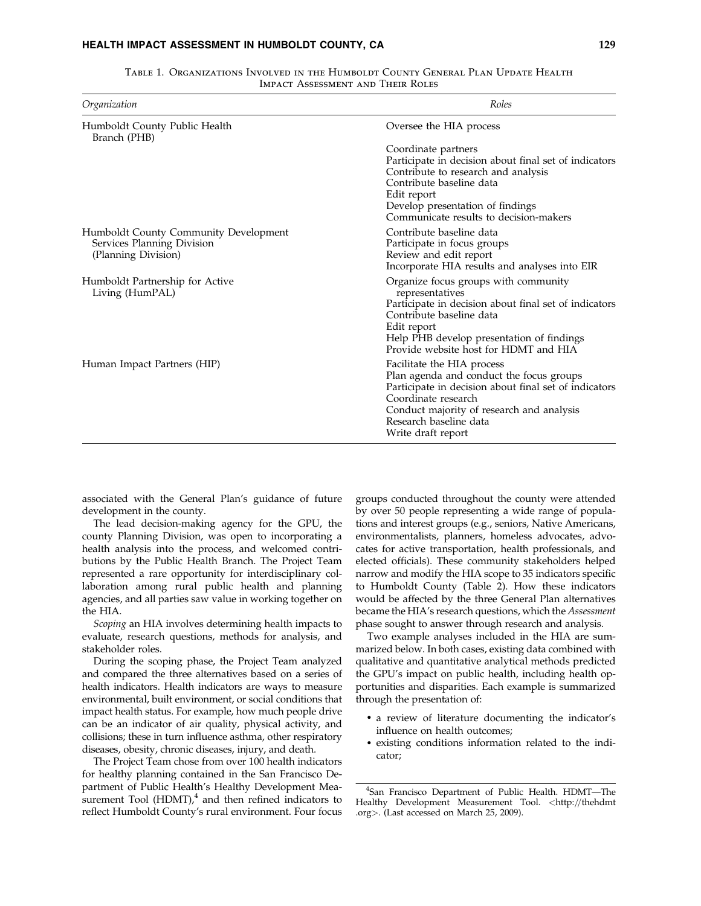## HEALTH IMPACT ASSESSMENT IN HUMBOLDT COUNTY, CA 129

| Organization                                                                               | Roles                                                                                                                                                                                                                                               |  |
|--------------------------------------------------------------------------------------------|-----------------------------------------------------------------------------------------------------------------------------------------------------------------------------------------------------------------------------------------------------|--|
| Humboldt County Public Health<br>Branch (PHB)                                              | Oversee the HIA process                                                                                                                                                                                                                             |  |
|                                                                                            | Coordinate partners<br>Participate in decision about final set of indicators<br>Contribute to research and analysis<br>Contribute baseline data<br>Edit report<br>Develop presentation of findings<br>Communicate results to decision-makers        |  |
| Humboldt County Community Development<br>Services Planning Division<br>(Planning Division) | Contribute baseline data<br>Participate in focus groups<br>Review and edit report<br>Incorporate HIA results and analyses into EIR                                                                                                                  |  |
| Humboldt Partnership for Active<br>Living (HumPAL)                                         | Organize focus groups with community<br>representatives<br>Participate in decision about final set of indicators<br>Contribute baseline data<br>Edit report<br>Help PHB develop presentation of findings<br>Provide website host for HDMT and HIA   |  |
| Human Impact Partners (HIP)                                                                | Facilitate the HIA process<br>Plan agenda and conduct the focus groups<br>Participate in decision about final set of indicators<br>Coordinate research<br>Conduct majority of research and analysis<br>Research baseline data<br>Write draft report |  |

Table 1. Organizations Involved in the Humboldt County General Plan Update Health Impact Assessment and Their Roles

associated with the General Plan's guidance of future development in the county.

The lead decision-making agency for the GPU, the county Planning Division, was open to incorporating a health analysis into the process, and welcomed contributions by the Public Health Branch. The Project Team represented a rare opportunity for interdisciplinary collaboration among rural public health and planning agencies, and all parties saw value in working together on the HIA.

Scoping an HIA involves determining health impacts to evaluate, research questions, methods for analysis, and stakeholder roles.

During the scoping phase, the Project Team analyzed and compared the three alternatives based on a series of health indicators. Health indicators are ways to measure environmental, built environment, or social conditions that impact health status. For example, how much people drive can be an indicator of air quality, physical activity, and collisions; these in turn influence asthma, other respiratory diseases, obesity, chronic diseases, injury, and death.

The Project Team chose from over 100 health indicators for healthy planning contained in the San Francisco Department of Public Health's Healthy Development Measurement Tool  $(HDMT)<sup>4</sup>$  and then refined indicators to reflect Humboldt County's rural environment. Four focus groups conducted throughout the county were attended by over 50 people representing a wide range of populations and interest groups (e.g., seniors, Native Americans, environmentalists, planners, homeless advocates, advocates for active transportation, health professionals, and elected officials). These community stakeholders helped narrow and modify the HIA scope to 35 indicators specific to Humboldt County (Table 2). How these indicators would be affected by the three General Plan alternatives became the HIA's research questions, which the Assessment phase sought to answer through research and analysis.

Two example analyses included in the HIA are summarized below. In both cases, existing data combined with qualitative and quantitative analytical methods predicted the GPU's impact on public health, including health opportunities and disparities. Each example is summarized through the presentation of:

- a review of literature documenting the indicator's influence on health outcomes;
- existing conditions information related to the indicator;

<sup>4</sup> San Francisco Department of Public Health. HDMT—The Healthy Development Measurement Tool. <http://thehdmt .org>. (Last accessed on March 25, 2009).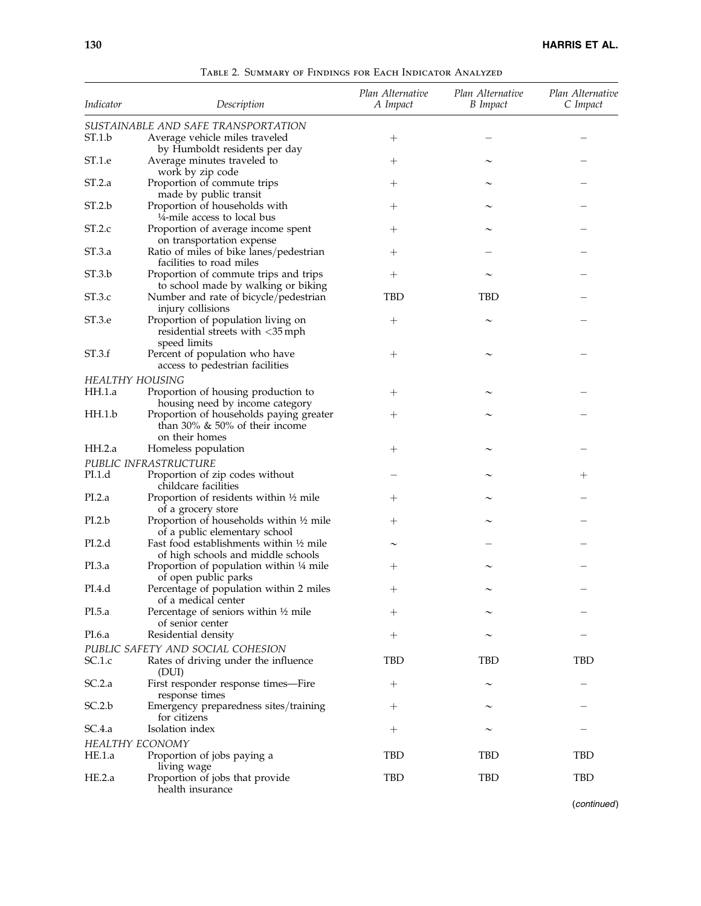|  |  | TABLE 2. SUMMARY OF FINDINGS FOR EACH INDICATOR ANALYZED |  |  |  |
|--|--|----------------------------------------------------------|--|--|--|
|--|--|----------------------------------------------------------|--|--|--|

| Indicator              | Description                                                                                   | Plan Alternative<br>A Impact | Plan Alternative<br><b>B</b> Impact | Plan Alternative<br>C Impact |
|------------------------|-----------------------------------------------------------------------------------------------|------------------------------|-------------------------------------|------------------------------|
|                        | SUSTAINABLE AND SAFE TRANSPORTATION                                                           |                              |                                     |                              |
| ST.1.b                 | Average vehicle miles traveled<br>by Humboldt residents per day                               | $^+$                         |                                     |                              |
| ST.1.e                 | Average minutes traveled to<br>work by zip code                                               | $^+$                         |                                     |                              |
| ST.2.a                 | Proportion of commute trips<br>made by public transit                                         | $^+$                         |                                     |                              |
| ST.2.b                 | Proportion of households with<br>1/4-mile access to local bus                                 | $^+$                         |                                     |                              |
| ST.2.c                 | Proportion of average income spent<br>on transportation expense                               | $^+$                         |                                     |                              |
| ST.3.a                 | Ratio of miles of bike lanes/pedestrian<br>facilities to road miles                           | $^+$                         |                                     |                              |
| ST.3.b                 | Proportion of commute trips and trips<br>to school made by walking or biking                  | $^+$                         |                                     |                              |
| ST.3.c                 | Number and rate of bicycle/pedestrian<br>injury collisions                                    | <b>TBD</b>                   | TBD                                 |                              |
| ST.3.e                 | Proportion of population living on<br>residential streets with <35 mph<br>speed limits        | $^+$                         |                                     |                              |
| ST.3.f                 | Percent of population who have<br>access to pedestrian facilities                             | $^+$                         |                                     |                              |
| <b>HEALTHY HOUSING</b> |                                                                                               |                              |                                     |                              |
| HH.1.a                 | Proportion of housing production to<br>housing need by income category                        | $^+$                         |                                     |                              |
| HH.1.b                 | Proportion of households paying greater<br>than 30% $&$ 50% of their income<br>on their homes | $^+$                         |                                     |                              |
| HH.2.a                 | Homeless population                                                                           | $^+$                         |                                     |                              |
|                        | PUBLIC INFRASTRUCTURE                                                                         |                              |                                     |                              |
| PI.1.d                 | Proportion of zip codes without<br>childcare facilities                                       |                              |                                     | $^+$                         |
| PL2.a                  | Proportion of residents within 1/2 mile<br>of a grocery store                                 | $^+$                         |                                     |                              |
| PI.2.b                 | Proportion of households within 1/2 mile<br>of a public elementary school                     | $^+$                         |                                     |                              |
| PI.2.d                 | Fast food establishments within $\frac{1}{2}$ mile<br>of high schools and middle schools      |                              |                                     |                              |
| PI.3.a                 | Proportion of population within 1/4 mile<br>of open public parks                              | $^+$                         |                                     |                              |
| PI.4.d                 | Percentage of population within 2 miles<br>of a medical center                                | $^{+}$                       |                                     |                              |
| PI.5.a                 | Percentage of seniors within 1/2 mile<br>of senior center                                     | $^+$                         |                                     |                              |
| PI.6.a                 | Residential density                                                                           | $^+$                         |                                     |                              |
|                        | PUBLIC SAFETY AND SOCIAL COHESION                                                             |                              |                                     |                              |
| SC.1.c                 | Rates of driving under the influence<br>(DUI)                                                 | TBD                          | <b>TBD</b>                          | <b>TBD</b>                   |
| SC.2.a                 | First responder response times—Fire<br>response times                                         | $^+$                         |                                     |                              |
| SC.2.b                 | Emergency preparedness sites/training<br>for citizens                                         | $^+$                         |                                     |                              |
| SC.4.a                 | Isolation index                                                                               | $^+$                         |                                     |                              |
|                        | HEALTHY ECONOMY                                                                               |                              |                                     |                              |
| HE.1.a                 | Proportion of jobs paying a<br>living wage                                                    | TBD                          | TBD                                 | TBD                          |
| HE.2.a                 | Proportion of jobs that provide<br>health insurance                                           | TBD                          | TBD                                 | <b>TBD</b>                   |

(continued)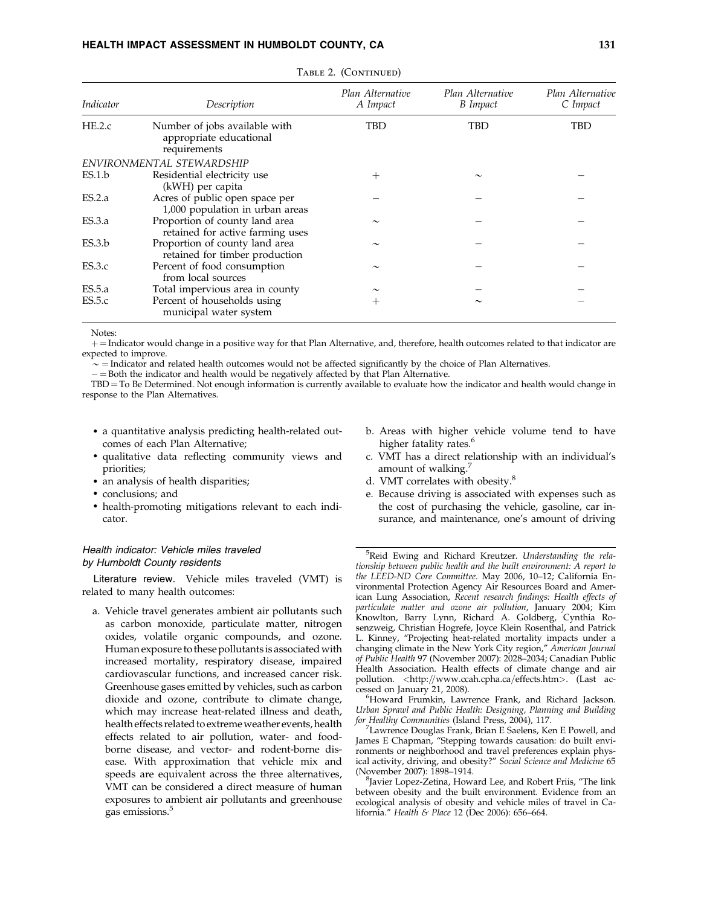### HEALTH IMPACT ASSESSMENT IN HUMBOLDT COUNTY, CA 131

| Indicator | Description                                                              | Plan Alternative<br>A Impact | Plan Alternative<br><b>B</b> Impact | Plan Alternative<br>C Impact |
|-----------|--------------------------------------------------------------------------|------------------------------|-------------------------------------|------------------------------|
| HE.2.c    | Number of jobs available with<br>appropriate educational<br>requirements | TBD                          | TBD                                 | TBD                          |
|           | ENVIRONMENTAL STEWARDSHIP                                                |                              |                                     |                              |
| ES.1.b    | Residential electricity use<br>(kWH) per capita                          | $^{+}$                       |                                     |                              |
| ES.2.a    | Acres of public open space per<br>1,000 population in urban areas        |                              |                                     |                              |
| ES.3.a    | Proportion of county land area<br>retained for active farming uses       | $\sim$                       |                                     |                              |
| ES.3.b    | Proportion of county land area<br>retained for timber production         | $\sim$                       |                                     |                              |
| ES.3.c    | Percent of food consumption<br>from local sources                        | $\tilde{\phantom{a}}$        |                                     |                              |
| ES.5.a    | Total impervious area in county                                          | $\tilde{\phantom{a}}$        |                                     |                              |
| ES.5.c    | Percent of households using<br>municipal water system                    | $^+$                         |                                     |                              |

|  | TABLE 2. (CONTINUED) |
|--|----------------------|
|--|----------------------|

Notes:

 $+=$  Indicator would change in a positive way for that Plan Alternative, and, therefore, health outcomes related to that indicator are expected to improve.

 $\sim$  = Indicator and related health outcomes would not be affected significantly by the choice of Plan Alternatives.

 $-$  = Both the indicator and health would be negatively affected by that Plan Alternative.

TBD = To Be Determined. Not enough information is currently available to evaluate how the indicator and health would change in response to the Plan Alternatives.

- a quantitative analysis predicting health-related outcomes of each Plan Alternative;
- qualitative data reflecting community views and priorities;
- an analysis of health disparities;
- conclusions; and
- health-promoting mitigations relevant to each indicator.

# Health indicator: Vehicle miles traveled by Humboldt County residents

Literature review. Vehicle miles traveled (VMT) is related to many health outcomes:

a. Vehicle travel generates ambient air pollutants such as carbon monoxide, particulate matter, nitrogen oxides, volatile organic compounds, and ozone. Human exposure to these pollutants is associated with increased mortality, respiratory disease, impaired cardiovascular functions, and increased cancer risk. Greenhouse gases emitted by vehicles, such as carbon dioxide and ozone, contribute to climate change, which may increase heat-related illness and death, health effects related to extreme weather events, health effects related to air pollution, water- and foodborne disease, and vector- and rodent-borne disease. With approximation that vehicle mix and speeds are equivalent across the three alternatives, VMT can be considered a direct measure of human exposures to ambient air pollutants and greenhouse gas emissions.5

- b. Areas with higher vehicle volume tend to have higher fatality rates.<sup>6</sup>
- c. VMT has a direct relationship with an individual's amount of walking.<sup>7</sup>
- d. VMT correlates with obesity.<sup>8</sup>
- e. Because driving is associated with expenses such as the cost of purchasing the vehicle, gasoline, car insurance, and maintenance, one's amount of driving

<sup>5</sup>Reid Ewing and Richard Kreutzer. Understanding the relationship between public health and the built environment: A report to the LEED-ND Core Committee. May 2006, 10–12; California Environmental Protection Agency Air Resources Board and American Lung Association, Recent research findings: Health effects of particulate matter and ozone air pollution, January 2004; Kim Knowlton, Barry Lynn, Richard A. Goldberg, Cynthia Rosenzweig, Christian Hogrefe, Joyce Klein Rosenthal, and Patrick L. Kinney, ''Projecting heat-related mortality impacts under a changing climate in the New York City region," American Journal of Public Health 97 (November 2007): 2028–2034; Canadian Public Health Association. Health effects of climate change and air pollution. <http://www.ccah.cpha.ca/effects.htm>. (Last accessed on January 21, 2008).

 ${}^{6}$ Howard Frumkin, Lawrence Frank, and Richard Jackson. Urban Sprawl and Public Health: Designing, Planning and Building for Healthy Communities (Island Press, 2004), 117.

 $\mathrm{^{7}L}$ awrence Douglas Frank, Brian E Saelens, Ken E Powell, and James E Chapman, ''Stepping towards causation: do built environments or neighborhood and travel preferences explain physical activity, driving, and obesity?" Social Science and Medicine 65 (November 2007): 1898-1914.

<sup>8</sup>Javier Lopez-Zetina, Howard Lee, and Robert Friis, "The link between obesity and the built environment. Evidence from an ecological analysis of obesity and vehicle miles of travel in California.'' Health & Place 12 (Dec 2006): 656–664.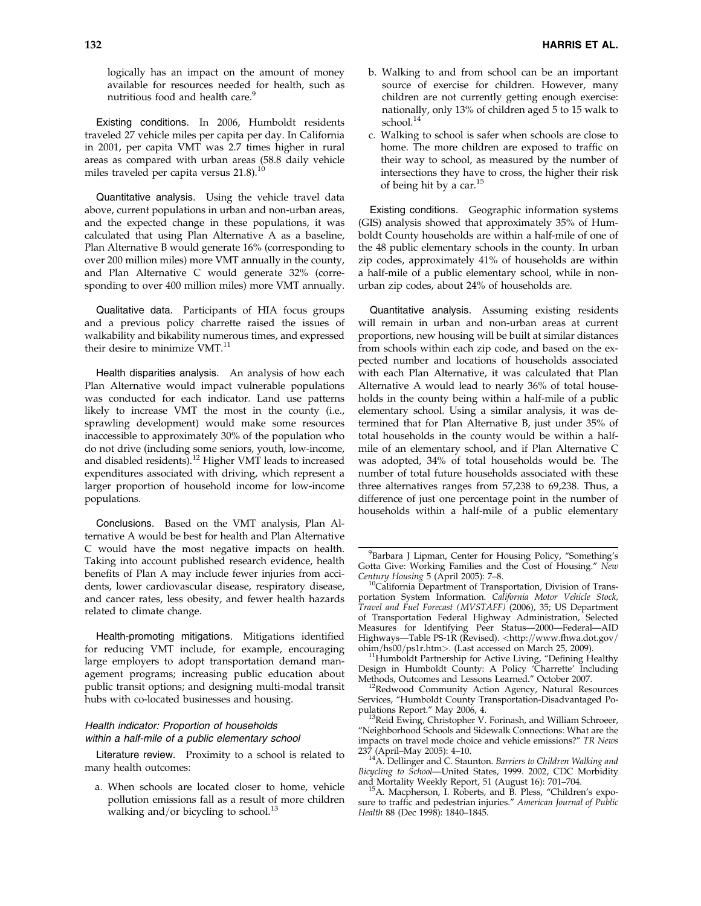logically has an impact on the amount of money available for resources needed for health, such as nutritious food and health care.<sup>9</sup>

Existing conditions. In 2006, Humboldt residents traveled 27 vehicle miles per capita per day. In California in 2001, per capita VMT was 2.7 times higher in rural areas as compared with urban areas (58.8 daily vehicle miles traveled per capita versus 21.8).<sup>10</sup>

Quantitative analysis. Using the vehicle travel data above, current populations in urban and non-urban areas, and the expected change in these populations, it was calculated that using Plan Alternative A as a baseline, Plan Alternative B would generate 16% (corresponding to over 200 million miles) more VMT annually in the county, and Plan Alternative C would generate 32% (corresponding to over 400 million miles) more VMT annually.

Qualitative data. Participants of HIA focus groups and a previous policy charrette raised the issues of walkability and bikability numerous times, and expressed their desire to minimize  $VMT<sup>11</sup>$ 

Health disparities analysis. An analysis of how each Plan Alternative would impact vulnerable populations was conducted for each indicator. Land use patterns likely to increase VMT the most in the county (i.e., sprawling development) would make some resources inaccessible to approximately 30% of the population who do not drive (including some seniors, youth, low-income, and disabled residents).<sup>12</sup> Higher VMT leads to increased expenditures associated with driving, which represent a larger proportion of household income for low-income populations.

Conclusions. Based on the VMT analysis, Plan Alternative A would be best for health and Plan Alternative C would have the most negative impacts on health. Taking into account published research evidence, health benefits of Plan A may include fewer injuries from accidents, lower cardiovascular disease, respiratory disease, and cancer rates, less obesity, and fewer health hazards related to climate change.

Health-promoting mitigations. Mitigations identified for reducing VMT include, for example, encouraging large employers to adopt transportation demand management programs; increasing public education about public transit options; and designing multi-modal transit hubs with co-located businesses and housing.

# Health indicator: Proportion of households within a half-mile of a public elementary school

Literature review. Proximity to a school is related to many health outcomes:

a. When schools are located closer to home, vehicle pollution emissions fall as a result of more children walking and/or bicycling to school.<sup>13</sup>

- b. Walking to and from school can be an important source of exercise for children. However, many children are not currently getting enough exercise: nationally, only 13% of children aged 5 to 15 walk to school.<sup>14</sup>
- c. Walking to school is safer when schools are close to home. The more children are exposed to traffic on their way to school, as measured by the number of intersections they have to cross, the higher their risk of being hit by a car. $15$

Existing conditions. Geographic information systems (GIS) analysis showed that approximately 35% of Humboldt County households are within a half-mile of one of the 48 public elementary schools in the county. In urban zip codes, approximately 41% of households are within a half-mile of a public elementary school, while in nonurban zip codes, about 24% of households are.

Quantitative analysis. Assuming existing residents will remain in urban and non-urban areas at current proportions, new housing will be built at similar distances from schools within each zip code, and based on the expected number and locations of households associated with each Plan Alternative, it was calculated that Plan Alternative A would lead to nearly 36% of total households in the county being within a half-mile of a public elementary school. Using a similar analysis, it was determined that for Plan Alternative B, just under 35% of total households in the county would be within a halfmile of an elementary school, and if Plan Alternative C was adopted, 34% of total households would be. The number of total future households associated with these three alternatives ranges from 57,238 to 69,238. Thus, a difference of just one percentage point in the number of households within a half-mile of a public elementary

<sup>11</sup> Humboldt Partnership for Active Living, "Defining Healthy Design in Humboldt County: A Policy 'Charrette' Including Methods, Outcomes and Lessons Learned." October 2007.

<sup>&</sup>lt;sup>9</sup>Barbara J Lipman, Center for Housing Policy, "Something's Gotta Give: Working Families and the Cost of Housing." New Century Housing 5 (April 2005): 7–8.

 $10$ California Department of Transportation, Division of Transportation System Information. California Motor Vehicle Stock, Travel and Fuel Forecast (MVSTAFF) (2006), 35; US Department of Transportation Federal Highway Administration, Selected Measures for Identifying Peer Status—2000—Federal—AID Highways—Table PS-1R (Revised). <http://www.fhwa.dot.gov/ ohim/hs00/ps1r.htm>. (Last accessed on March 25, 2009).  $\frac{11}{11}$ 

<sup>&</sup>lt;sup>12</sup>Redwood Community Action Agency, Natural Resources Services, "Humboldt County Transportation-Disadvantaged Po-<br>pulations Report." May 2006, 4.

 ${}^{3}$ Reid Ewing, Christopher V. Forinash, and William Schroeer, ''Neighborhood Schools and Sidewalk Connections: What are the impacts on travel mode choice and vehicle emissions?'' TR News  $237$  (April–May 2005): 4–10.<br><sup>14</sup>A. Dellinger and C. Staunton. Barriers to Children Walking and

Bicycling to School—United States, 1999. 2002, CDC Morbidity and Mortality Weekly Report, 51 (August 16): 701-704.

and Mortality Weekly Report, 51 (August 16): 701–704.<br><sup>15</sup>A. Macpherson, I. Roberts, and B. Pless, "Children's exposure to traffic and pedestrian injuries." American Journal of Public Health 88 (Dec 1998): 1840-1845.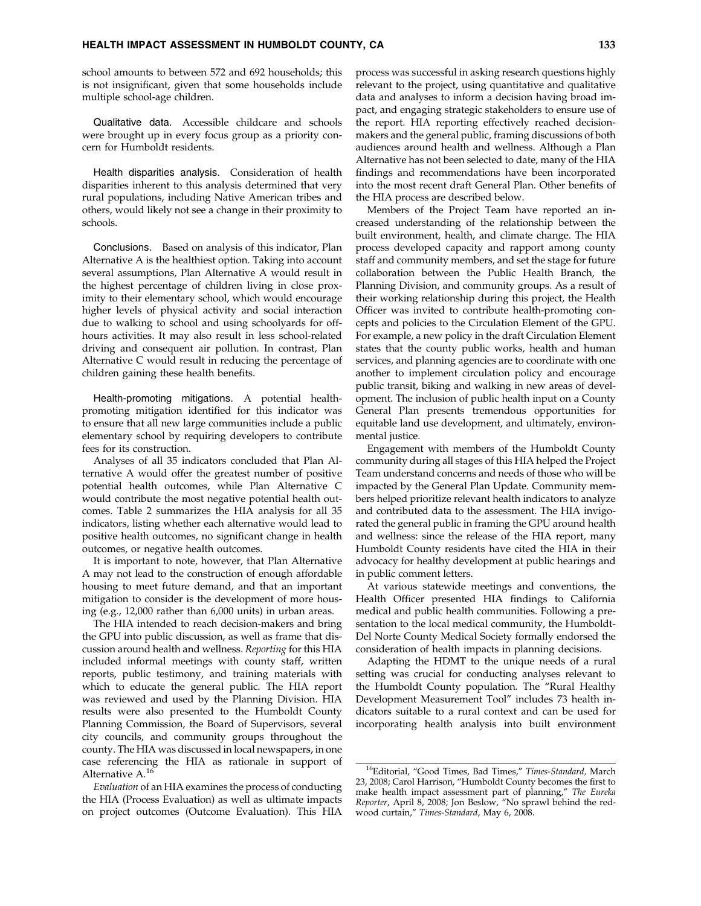school amounts to between 572 and 692 households; this is not insignificant, given that some households include multiple school-age children.

Qualitative data. Accessible childcare and schools were brought up in every focus group as a priority concern for Humboldt residents.

Health disparities analysis. Consideration of health disparities inherent to this analysis determined that very rural populations, including Native American tribes and others, would likely not see a change in their proximity to schools.

Conclusions. Based on analysis of this indicator, Plan Alternative A is the healthiest option. Taking into account several assumptions, Plan Alternative A would result in the highest percentage of children living in close proximity to their elementary school, which would encourage higher levels of physical activity and social interaction due to walking to school and using schoolyards for offhours activities. It may also result in less school-related driving and consequent air pollution. In contrast, Plan Alternative C would result in reducing the percentage of children gaining these health benefits.

Health-promoting mitigations. A potential healthpromoting mitigation identified for this indicator was to ensure that all new large communities include a public elementary school by requiring developers to contribute fees for its construction.

Analyses of all 35 indicators concluded that Plan Alternative A would offer the greatest number of positive potential health outcomes, while Plan Alternative C would contribute the most negative potential health outcomes. Table 2 summarizes the HIA analysis for all 35 indicators, listing whether each alternative would lead to positive health outcomes, no significant change in health outcomes, or negative health outcomes.

It is important to note, however, that Plan Alternative A may not lead to the construction of enough affordable housing to meet future demand, and that an important mitigation to consider is the development of more housing (e.g., 12,000 rather than 6,000 units) in urban areas.

The HIA intended to reach decision-makers and bring the GPU into public discussion, as well as frame that discussion around health and wellness. Reporting for this HIA included informal meetings with county staff, written reports, public testimony, and training materials with which to educate the general public. The HIA report was reviewed and used by the Planning Division. HIA results were also presented to the Humboldt County Planning Commission, the Board of Supervisors, several city councils, and community groups throughout the county. The HIA was discussed in local newspapers, in one case referencing the HIA as rationale in support of Alternative  $A<sup>1</sup>$ 

Evaluation of an HIA examines the process of conducting the HIA (Process Evaluation) as well as ultimate impacts on project outcomes (Outcome Evaluation). This HIA

process was successful in asking research questions highly relevant to the project, using quantitative and qualitative data and analyses to inform a decision having broad impact, and engaging strategic stakeholders to ensure use of the report. HIA reporting effectively reached decisionmakers and the general public, framing discussions of both audiences around health and wellness. Although a Plan Alternative has not been selected to date, many of the HIA findings and recommendations have been incorporated into the most recent draft General Plan. Other benefits of the HIA process are described below.

Members of the Project Team have reported an increased understanding of the relationship between the built environment, health, and climate change. The HIA process developed capacity and rapport among county staff and community members, and set the stage for future collaboration between the Public Health Branch, the Planning Division, and community groups. As a result of their working relationship during this project, the Health Officer was invited to contribute health-promoting concepts and policies to the Circulation Element of the GPU. For example, a new policy in the draft Circulation Element states that the county public works, health and human services, and planning agencies are to coordinate with one another to implement circulation policy and encourage public transit, biking and walking in new areas of development. The inclusion of public health input on a County General Plan presents tremendous opportunities for equitable land use development, and ultimately, environmental justice.

Engagement with members of the Humboldt County community during all stages of this HIA helped the Project Team understand concerns and needs of those who will be impacted by the General Plan Update. Community members helped prioritize relevant health indicators to analyze and contributed data to the assessment. The HIA invigorated the general public in framing the GPU around health and wellness: since the release of the HIA report, many Humboldt County residents have cited the HIA in their advocacy for healthy development at public hearings and in public comment letters.

At various statewide meetings and conventions, the Health Officer presented HIA findings to California medical and public health communities. Following a presentation to the local medical community, the Humboldt-Del Norte County Medical Society formally endorsed the consideration of health impacts in planning decisions.

Adapting the HDMT to the unique needs of a rural setting was crucial for conducting analyses relevant to the Humboldt County population. The ''Rural Healthy Development Measurement Tool'' includes 73 health indicators suitable to a rural context and can be used for incorporating health analysis into built environment

<sup>&</sup>lt;sup>16</sup>Editorial, "Good Times, Bad Times," Times-Standard, March 23, 2008; Carol Harrison, ''Humboldt County becomes the first to make health impact assessment part of planning,'' The Eureka Reporter, April 8, 2008; Jon Beslow, ''No sprawl behind the redwood curtain,'' Times-Standard, May 6, 2008.